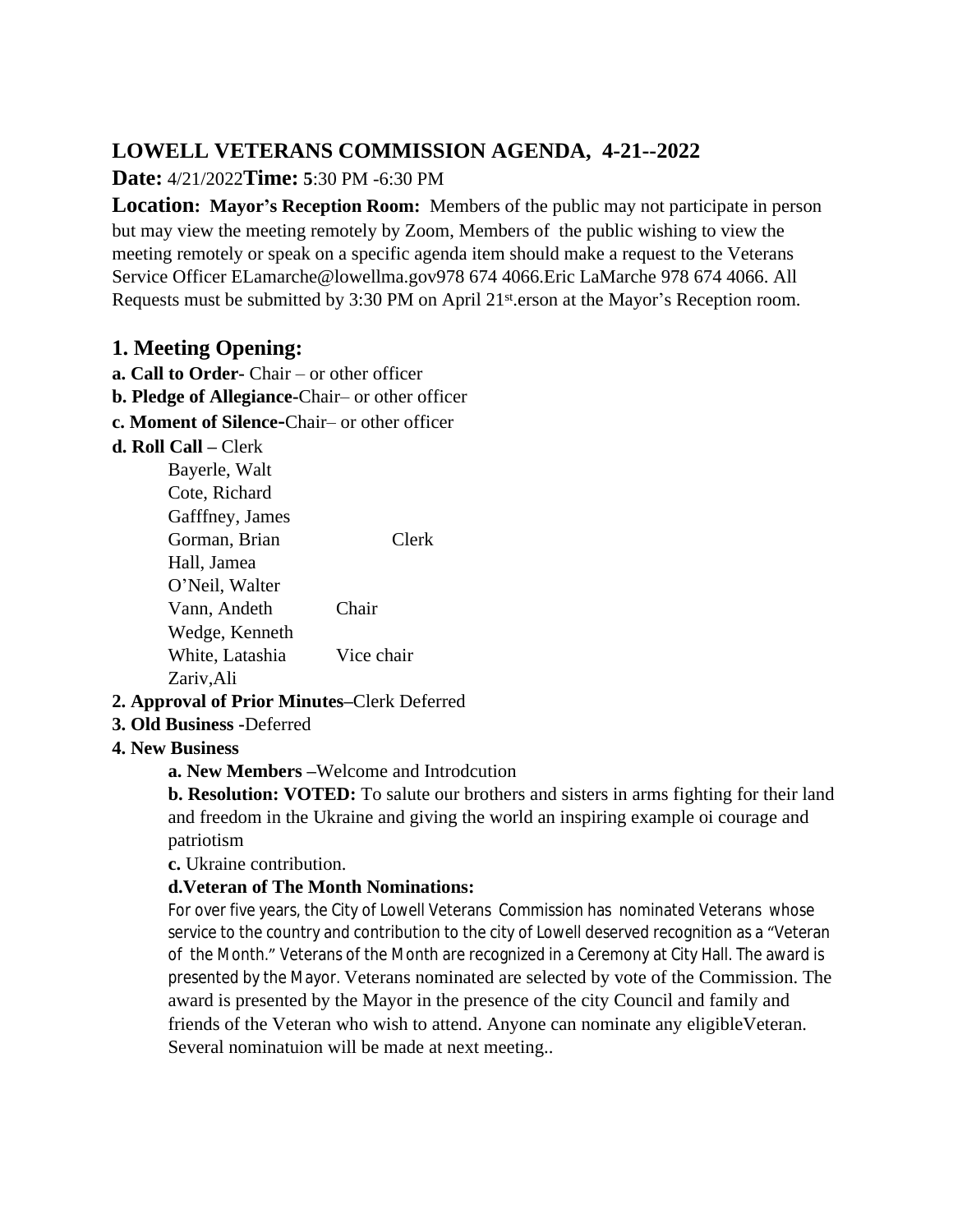# **LOWELL VETERANS COMMISSION AGENDA, 4-21--2022**

# **Date:** 4/21/2022**Time: 5**:30 PM -6:30 PM

**Location: Mayor's Reception Room:** Members of the public may not participate in person but may view the meeting remotely by Zoom, Members of the public wishing to view the meeting remotely or speak on a specific agenda item should make a request to the Veterans Service Officer ELamarche@lowellma.gov978 674 4066.Eric LaMarche 978 674 4066. All Requests must be submitted by 3:30 PM on April 21<sup>st</sup> erson at the Mayor's Reception room.

# **1. Meeting Opening:**

- **a. Call to Order-** Chair or other officer
- **b. Pledge of Allegiance-**Chair– or other officer
- **c. Moment of Silence-**Chair– or other officer

#### **d. Roll Call –** Clerk

| Clerk      |
|------------|
|            |
|            |
| Chair      |
|            |
| Vice chair |
|            |
|            |

## **2. Approval of Prior Minutes–**Clerk Deferred

**3. Old Business -**Deferred

## **4. New Business**

**a. New Members –**Welcome and Introdcution

**b. Resolution: VOTED:** To salute our brothers and sisters in arms fighting for their land and freedom in the Ukraine and giving the world an inspiring example oi courage and patriotism

**c.** Ukraine contribution.

## **d.Veteran of The Month Nominations:**

For over five years, the City of Lowell Veterans Commission has nominated Veterans whose service to the country and contribution to the city of Lowell deserved recognition as a "Veteran of the Month." Veterans of the Month are recognized in a Ceremony at City Hall. The award is presented by the Mayor. Veterans nominated are selected by vote of the Commission. The award is presented by the Mayor in the presence of the city Council and family and friends of the Veteran who wish to attend. Anyone can nominate any eligibleVeteran. Several nominatuion will be made at next meeting..